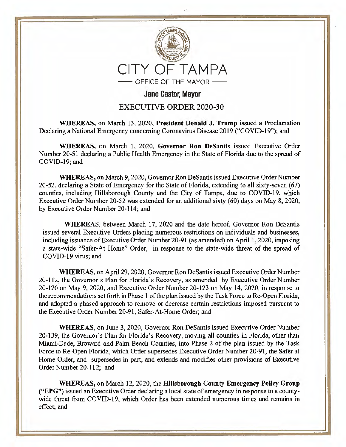

Jane Castor, Mayor

## EXECUTIVE ORDER 2020-30

**WHEREAS,** on March 13, 2020, **President Donald J. Trump** issued a Proclamation Declaring a National Emergency concerning Coronavirus Disease 2019 ("COVID-19"); and

**WHEREAS,** on March 1, 2020, **Governor Ron Desantis** issued Executive Order Number 20-51 declaring a Public Health Emergency in the State of Florida due to the spread of COVID-19; and

**WHEREAS,** on March 9, 2020, Governor Ron Desantis issued Executive Order Number 20-52, declaring a State of Emergency for the State of Florida, extending to all sixty-seven (67) counties, including Hillsborough County and the City of Tampa, due to COVID-19, which Executive Order Number 20-52 was extended for an additional sixty (60) days on May 8, 2020, by Executive Order Number 20-114; and

**WHEREAS,** between March 17, 2020 and the date hereof, Governor Ron DeSantis issued several Executive Orders placing numerous restrictions on individuals and businesses, including issuance of Executive Order Number 20-91 (as amended) on April 1, 2020, imposing a state-wide "Safer-At Home'' Order, in response to the state-wide threat of the spread of COVID-19 virus; and

**WHEREAS,** on April 29, 2020, Governor Ron Desantis issued Executive Order Number 20-112, the Governor's Plan for Florida's Recovery, as amended by Executive Order Number 20-120 on May 9, 2020, and Executive Order Number 20-123 on May 14, 2020, in response to the recommendations set forth in Phase 1 of the plan issued by the Task Force to Re-Open Florida, and adopted a phased approach to remove or decrease certain restrictions imposed pursuant to the Executive Order Number 20-91, Safer-At-Home Order; and

**WHEREAS,** on June 3, 2020, Governor Ron DeSantis issued Executive Order Number 20-139, the Governor's Plan for Florida's Recovery, moving all counties in Florida, other than Miami-Dade, Broward and Palm Beach Counties, into Phase 2 of the plan issued by the Task Force to Re-Open Florida, which Order supersedes Executive Order Number 20-91, the Safer at Home Order, and supersedes in part, and extends and modifies other provisions of Executive Order Number 20-112; and

**WHEREAS,** on March 12, 2020, the **Hillsborough County Emergency Policy Group ("EPG")** issued an Executive Order declaring a local state of emergency in response to a countywide threat from COVID-19, which Order has been extended numerous times and remains in effect; and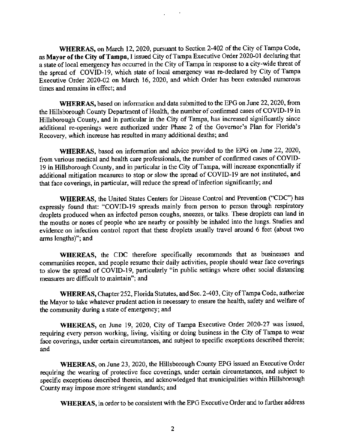**WHEREAS,** on March 12, 2020, pursuant to Section 2-402 of the City of Tampa Code, as **Mayor of the City of Tampa,** I issued City of Tampa Executive Order 2020-01 declaring that a state of local emergency has occurred in the City of Tampa in response to a city-wide threat of the spread of COVID-19, which state of local emergency was re-declared by City of Tampa Executive Order 2020-02 on March 16, 2020, and which Order has been extended numerous times and remains in effect; and

**WHEREAS,** based on information and data submitted to the EPG on June 22, 2020, from the Hillsborough County Department of Health, the number of confirmed cases of COVID-19 in Hillsborough County, and in particular in the City of Tampa, has increased significantly since additional re-openings were authorized under Phase 2 of the Governor's Plan for Florida's Recovery, which increase has resulted in many additional deaths; and

**WHEREAS,** based on information and advice provided to the EPG on June 22, 2020, from various medical and health care professionals, the number of confirmed cases of COVID-19 in Hillsborough County, and in particular in the City of Tampa, will increase exponentially if additional mitigation measures to stop or slow the spread of COVID-19 are not instituted, and that face coverings, in particular, will reduce the spread of infection significantly; and

**WHEREAS, the United States Centers for Disease Control and Prevention ("CDC") has** expressly found that: "COVID-19 spreads mainly from person to person through respiratory droplets produced when an infected person coughs, sneezes, or talks. These droplets can land in the mouths or noses of people who are nearby or possibly be inhaled into the lungs. Studies and evidence on infection control report that these droplets usually travel around 6 feet (about two arms lengths)"; and

**WHEREAS,** the CDC therefore specifically recommends that as businesses and communities reopen, and people resume their daily activities, people should wear face coverings to slow the spread of COVID-19, particularly "in public settings where other social distancing measures are difficult to maintain"; and

**WHEREAS,** Chapter 252, Florida Statutes, and Sec. 2-403, City of Tampa Code, authorize the Mayor to take whatever prudent action is necessary to ensure the health, safety and welfare of the community during a state of emergency; and

**WHEREAS,** on June 19, 2020, City of Tampa Executive Order 2020-27 was issued, requiring every person working, living, visiting or doing business in the City of Tampa to wear face coverings, under certain circumstances, and subject to specific exceptions described therein; and

**WHEREAS,** on June 23, 2020, the Hillsborough County EPG issued an Executive Order requiring the wearing of protective face coverings, under certain circumstances, and subject to specific exceptions described therein, and acknowledged that municipalities within Hillsborough County may impose more stringent standards; and

**WHEREAS,** in order to be consistent with the EPG Executive Order and to further address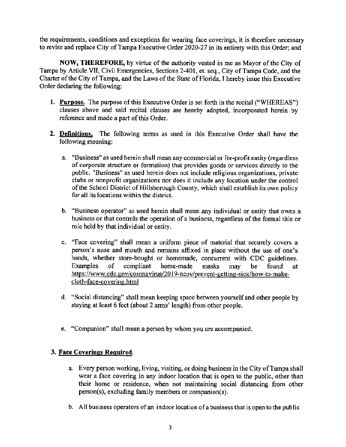the requirements, conditions and exceptions for wearing face coverings, it is therefore necessary to revise and replace City of Tampa Executive Order 2020-27 in its entirety with this Order; and

**NOW, THEREFORE,** by virtue of the authority vested in me as Mayor of the City of Tampa by Article VII, Civil Emergencies, Sections 2-401, et. seq., City of Tampa Code, and the Charter of the City of Tampa, and the Laws of the State of Florida, I hereby issue this Executive Order declaring the following:

- **1. Purpose.** The purpose of this Executive Order is set forth in the recital ("WHEREAS") clauses above and said recital clauses are hereby adopted, incorporated herein by reference and made a part of this Order.
- **2. Definitions.** The following terms as used in this Executive Order shall have the following meaning:
	- a. "Business" as used herein shall mean any commercial or for-profit entity (regardless of corporate structure or formation) that provides goods or services directly to the public. "Business" as used herein does not include religious organizations, private clubs or nonprofit organizations nor does it include any location under the control of the School District of Hillsborough County, which shall establish its own policy for all its locations within the district.
	- b. "Business operator" as used herein shall mean any individual or entity that owns a business or that controls the operation of a business, regardless of the formal title or role held by that individual or entity.
	- c. "Face covering" shall mean a uniform piece of material that securely covers a person's nose and mouth and remains affixed in place without the use of one's hands, whether store-bought or homemade, concurrent with CDC guidelines. Examples of compliant home-made masks may be found at https://www.cdc.gov/coronavirus/2019-ncov/prevent-getting-sick/how-to-makecloth-face-covering.html
	- d. "Social distancing" shall mean keeping space between yourself and other people by staying at least 6 feet (about 2 arms' length) from other people.
	- e. "Companion" shall mean a person by whom you are accompanied.

## **3. Face Coverings Required.**

- a. Every person working, living, visiting, or doing business in the City of Tampa shall wear a face covering in any indoor location that is open to the public, other than their home or residence, when not maintaining social distancing from other person(s), excluding family members or companion(s).
- b. All business operators of an indoor location of a business that is open to the public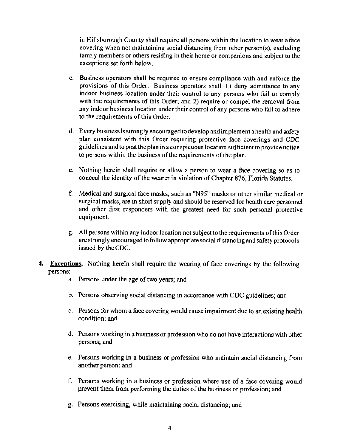in Hillsborough County shall require all persons within the location to wear a face covering when not maintaining social distancing from other person(s), excluding family members or others residing in their home or companions and subject to the exceptions set forth below.

- c. Business operators shall be required to ensure compliance with and enforce the provisions of this Order. Business operators shall I) deny admittance to any indoor business location under their control to any persons who fail to comply with the requirements of this Order; and 2) require or compel the removal from any indoor business location under their control of any persons who fail to adhere to the requirements of this Order.
- d. Every business is strongly encouraged to develop and implement a health and safety plan consistent with this Order requiring protective face coverings and CDC guidelines and to post the plan in a conspicuous location sufficient to provide notice to persons within the business of the requirements of the plan.
- e. Nothing herein shall require or allow a person to wear a face covering so as to conceal the identity of the wearer in violation of Chapter 876, Florida Statutes.
- f. Medical and surgical face masks, such as "N95" masks or other similar medical or surgical masks, are in short supply and should be reserved for health care personnel and other first responders with the greatest need for such personal protective equipment.
- g. All persons within any indoor location not subject to the requirements of this Order are strongly encouraged to follow appropriate social distancing and safety protocols issued by the CDC.
- **4. Exceptions.** Nothing herein shall require the wearing of face coverings by the following persons:
	- a. Persons under the age of two years; and
	- b. Persons observing social distancing in accordance with CDC guidelines; and
	- c. Persons for whom a face covering would cause impairment due to an existing health condition; and
	- d. Persons working in a business or profession who do not have interactions with other persons; and
	- e. Persons working in a business or profession who maintain social distancing from another person; and
	- f. Persons working in a business or profession where use of a face covering would prevent them from performing the duties of the business or profession; and
	- g. Persons exercising, while maintaining social distancing; and